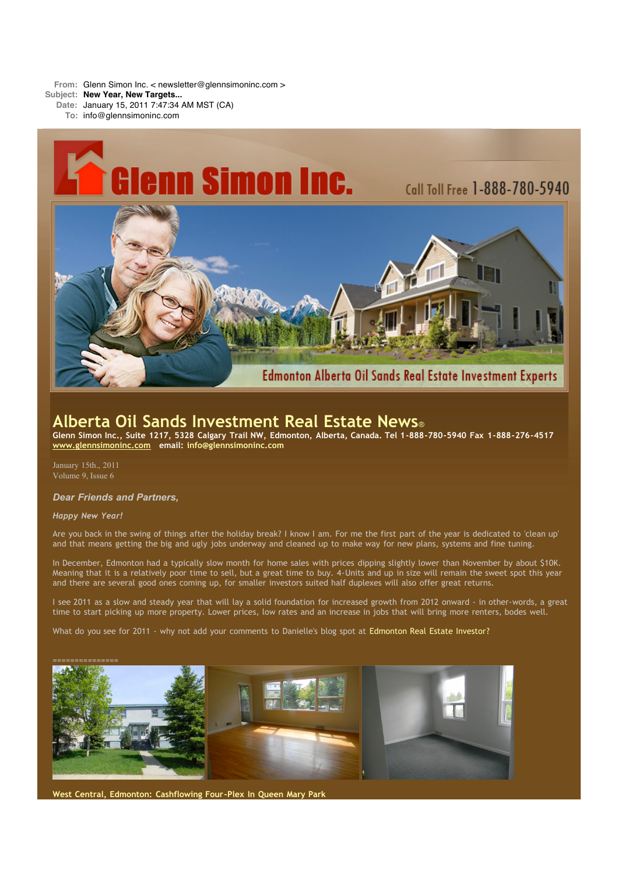**From:** Glenn Simon Inc. < newsletter@glennsimoninc.com >

**Subject: New Year, New Targets...**

**Date:** January 15, 2011 7:47:34 AM MST (CA)

**To:** info@glennsimoninc.com



# **Alberta Oil Sands Investment Real Estate News**®

Glenn Simon Inc., Suite 1217, 5328 Calgary Trail NW, Edmonton, Alberta, Canada. Tel 1-888-780-5940 Fax 1-888-276-4517 **[www.glennsimoninc.com](http://www.glennsimoninc.com/) email: [info@glennsimoninc.com](mailto:info@glennsimoninc.com)**

January 15th., 2011 Volume 9, Issue 6

# *Dear Friends and Partners,*

## *Happy New Year!*

Are you back in the swing of things after the holiday break? I know I am. For me the first part of the year is dedicated to 'clean up' and that means getting the big and ugly jobs underway and cleaned up to make way for new plans, systems and fine tuning.

In December, Edmonton had a typically slow month for home sales with prices dipping slightly lower than November by about \$10K. Meaning that it is a relatively poor time to sell, but a great time to buy. 4-Units and up in size will remain the sweet spot this year and there are several good ones coming up, for smaller investors suited half duplexes will also offer great returns.

I see 2011 as a slow and steady year that will lay a solid foundation for increased growth from 2012 onward - in other-words, a great time to start picking up more property. Lower prices, low rates and an increase in jobs that will bring more renters, bodes well.

What do you see for 2011 - why not add your comments to Danielle's blog spot at [Edmonton](http://www.glennsimoninc.com/EdmontonRealEstateInvestor/) Real Estate Investor?



**West Central, Edmonton: [Cashflowing](http://www.glennsimoninc.com/featured_detail.php?id=78) Four-Plex In Queen Mary Park**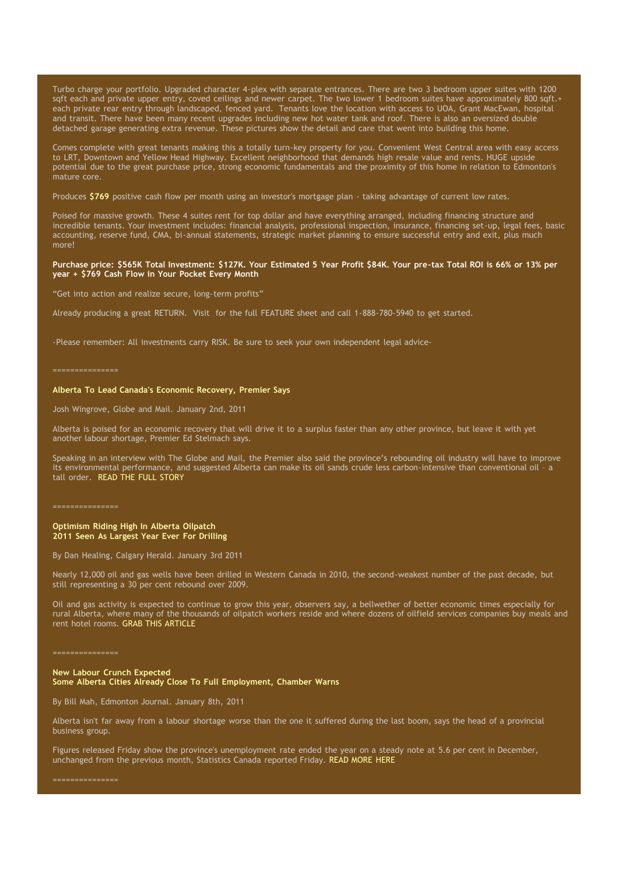Turbo charge your portfolio. Upgraded character 4-plex with separate entrances. There are two 3 bedroom upper suites with 1200 sqft each and private upper entry, coved ceilings and newer carpet. The two lower 1 bedroom suites have approximately 800 sqft.+ each private rear entry through landscaped, fenced yard. Tenants love the location with access to UOA, Grant MacEwan, hospital and transit. There have been many recent upgrades including new hot water tank and roof. There is also an oversized double detached garage generating extra revenue. These pictures show the detail and care that went into building this home.

Comes complete with great tenants making this a totally turn-key property for you. Convenient West Central area with easy access to LRT, Downtown and Yellow Head Highway. Excellent neighborhood that demands high resale value and rents. HUGE upside potential due to the great purchase price, strong economic fundamentals and the proximity of this home in relation to Edmonton's mature core.

Produces **[\\$769](http://www.glennsimoninc.com/featured_detail.php?id=78)** positive cash flow per month using an investor's mortgage plan - taking advantage of current low rates.

Poised for massive growth. These 4 suites rent for top dollar and have everything arranged, including financing structure and incredible tenants. Your investment includes: financial analysis, professional inspection, insurance, financing set-up, legal fees, basic accounting, reserve fund, CMA, bi-annual statements, strategic market planning to ensure successful entry and exit, plus much more!

#### Purchase price: \$565K Total [Investment:](http://www.glennsimoninc.com/featured_detail.php?id=78) \$127K. Your Estimated 5 Year Profit \$84K. Your pre-tax Total ROI is 66% or 13% per **year + \$769 Cash Flow in Your Pocket Every Month**

"Get into action and realize secure, long-term profits"

Already producing a great RETURN. Visit for the full FEATURE sheet and call 1-888-780-5940 to get started.

-Please remember: All investments carry RISK. Be sure to seek your own independent legal advice-

# **Alberta To Lead Canada's Economic Recovery, Premier Says**

Josh Wingrove, Globe and Mail. January 2nd, 2011

Alberta is poised for an economic recovery that will drive it to a surplus faster than any other province, but leave it with yet another labour shortage, Premier Ed Stelmach says.

Speaking in an interview with The Globe and Mail, the Premier also said the province's rebounding oil industry will have to improve its environmental performance, and suggested Alberta can make its oil sands crude less carbon-intensive than conventional oil – a tall order. READ THE FULL [STORY](http://www.theglobeandmail.com/news/national/prairies/alberta-to-lead-canadas-economic-recovery-premier-says/article1855656/)

===============

### **Optimism Riding High In Alberta Oilpatch 2011 Seen As Largest Year Ever For Drilling**

By Dan Healing, Calgary Herald. January 3rd 2011

Nearly 12,000 oil and gas wells have been drilled in Western Canada in 2010, the second-weakest number of the past decade, but still representing a 30 per cent rebound over 2009.

Oil and gas activity is expected to continue to grow this year, observers say, a bellwether of better economic times especially for rural Alberta, where many of the thousands of oilpatch workers reside and where dozens of oilfield services companies buy meals and rent hotel rooms. GRAB THIS [ARTICLE](http://www.calgaryherald.com/technology/Optimism+riding+high+Alberta+oilpatch/4044448/story.html#ixzz1ATASGg2a)

#### **New Labour Crunch Expected Some Alberta Cities Already Close To Full Employment, Chamber Warns**

By Bill Mah, Edmonton Journal. January 8th, 2011

Alberta isn't far away from a labour shortage worse than the one it suffered during the last boom, says the head of a provincial business group.

Figures released Friday show the province's unemployment rate ended the year on a steady note at 5.6 per cent in December, unchanged from the previous month, Statistics Canada reported Friday. READ [MORE](http://www.edmontonjournal.com/business/labour+crunch+expected/4079847/story.html#ixzz1ATAynTHk) HERE